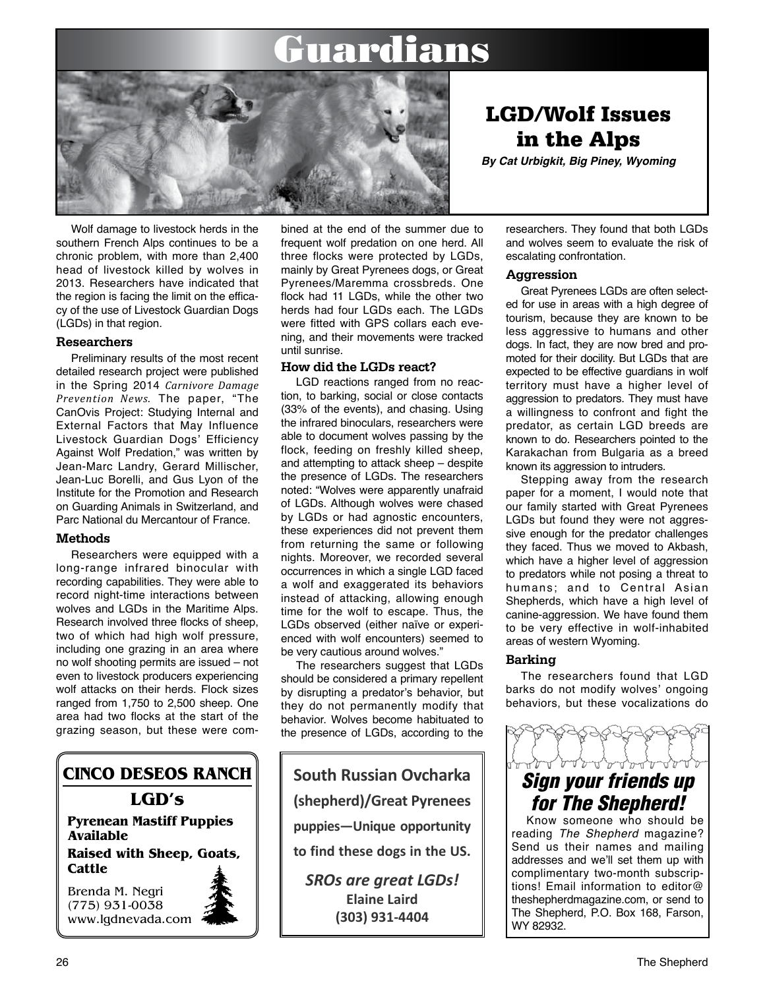# Guardians



LGD/Wolf Issues in the Alps

*By Cat Urbigkit, Big Piney, Wyoming*

Wolf damage to livestock herds in the southern French Alps continues to be a chronic problem, with more than 2,400 head of livestock killed by wolves in 2013. Researchers have indicated that the region is facing the limit on the efficacy of the use of Livestock Guardian Dogs (LGDs) in that region.

### **Researchers**

Preliminary results of the most recent detailed research project were published in the Spring 2014 *Carnivore Damage Prevention News.* The paper, "The CanOvis Project: Studying Internal and External Factors that May Influence Livestock Guardian Dogs' Efficiency Against Wolf Predation," was written by Jean-Marc Landry, Gerard Millischer, Jean-Luc Borelli, and Gus Lyon of the Institute for the Promotion and Research on Guarding Animals in Switzerland, and Parc National du Mercantour of France.

# **Methods**

Researchers were equipped with a long-range infrared binocular with recording capabilities. They were able to record night-time interactions between wolves and LGDs in the Maritime Alps. Research involved three flocks of sheep, two of which had high wolf pressure, including one grazing in an area where no wolf shooting permits are issued – not even to livestock producers experiencing wolf attacks on their herds. Flock sizes ranged from 1,750 to 2,500 sheep. One area had two flocks at the start of the grazing season, but these were com-



**LGD's**

**Pyrenean Mastiff Puppies Available**

**Raised with Sheep, Goats, Cattle**

Brenda M. Negri (775) 931-0038 www.lgdnevada.com



bined at the end of the summer due to frequent wolf predation on one herd. All three flocks were protected by LGDs, mainly by Great Pyrenees dogs, or Great Pyrenees/Maremma crossbreds. One flock had 11 LGDs, while the other two herds had four LGDs each. The LGDs were fitted with GPS collars each evening, and their movements were tracked until sunrise.

# **How did the LGDs react?**

LGD reactions ranged from no reaction, to barking, social or close contacts (33% of the events), and chasing. Using the infrared binoculars, researchers were able to document wolves passing by the flock, feeding on freshly killed sheep, and attempting to attack sheep – despite the presence of LGDs. The researchers noted: "Wolves were apparently unafraid of LGDs. Although wolves were chased by LGDs or had agnostic encounters, these experiences did not prevent them from returning the same or following nights. Moreover, we recorded several occurrences in which a single LGD faced a wolf and exaggerated its behaviors instead of attacking, allowing enough time for the wolf to escape. Thus, the LGDs observed (either naïve or experienced with wolf encounters) seemed to be very cautious around wolves."

The researchers suggest that LGDs should be considered a primary repellent by disrupting a predator's behavior, but they do not permanently modify that behavior. Wolves become habituated to the presence of LGDs, according to the

**South Russian Ovcharka (shepherd)/Great Pyrenees puppies—Unique opportunity** 

**to find these dogs in the US.**

*SROs are great LGDs!* **Elaine Laird (303) 931-4404**

researchers. They found that both LGDs and wolves seem to evaluate the risk of escalating confrontation.

## **Aggression**

Great Pyrenees LGDs are often selected for use in areas with a high degree of tourism, because they are known to be less aggressive to humans and other dogs. In fact, they are now bred and promoted for their docility. But LGDs that are expected to be effective guardians in wolf territory must have a higher level of aggression to predators. They must have a willingness to confront and fight the predator, as certain LGD breeds are known to do. Researchers pointed to the Karakachan from Bulgaria as a breed known its aggression to intruders.

Stepping away from the research paper for a moment, I would note that our family started with Great Pyrenees LGDs but found they were not aggressive enough for the predator challenges they faced. Thus we moved to Akbash, which have a higher level of aggression to predators while not posing a threat to humans; and to Central Asian Shepherds, which have a high level of canine-aggression. We have found them to be very effective in wolf-inhabited areas of western Wyoming.

# **Barking**

The researchers found that LGD barks do not modify wolves' ongoing behaviors, but these vocalizations do



# Sign your friends up for The Shepherd!

Know someone who should be reading *The Shepherd* magazine? Send us their names and mailing addresses and we'll set them up with complimentary two-month subscriptions! Email information to editor@ theshepherdmagazine.com, or send to The Shepherd, P.O. Box 168, Farson, WY 82932.